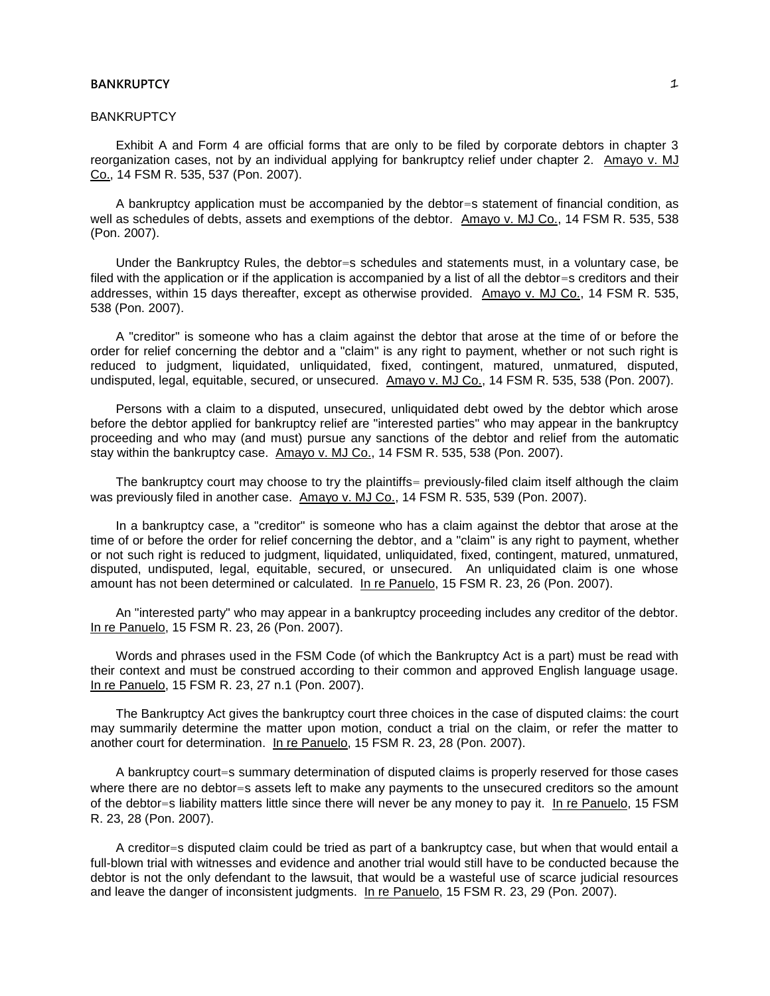#### **BANKRUPTCY**

Exhibit A and Form 4 are official forms that are only to be filed by corporate debtors in chapter 3 reorganization cases, not by an individual applying for bankruptcy relief under chapter 2. Amayo v. MJ Co., 14 FSM R. 535, 537 (Pon. 2007).

A bankruptcy application must be accompanied by the debtor=s statement of financial condition, as well as schedules of debts, assets and exemptions of the debtor. Amayo v. MJ Co., 14 FSM R. 535, 538 (Pon. 2007).

Under the Bankruptcy Rules, the debtor=s schedules and statements must, in a voluntary case, be filed with the application or if the application is accompanied by a list of all the debtor=s creditors and their addresses, within 15 days thereafter, except as otherwise provided. Amayo v. MJ Co., 14 FSM R. 535, 538 (Pon. 2007).

A "creditor" is someone who has a claim against the debtor that arose at the time of or before the order for relief concerning the debtor and a "claim" is any right to payment, whether or not such right is reduced to judgment, liquidated, unliquidated, fixed, contingent, matured, unmatured, disputed, undisputed, legal, equitable, secured, or unsecured. Amayo v. MJ Co., 14 FSM R. 535, 538 (Pon. 2007).

Persons with a claim to a disputed, unsecured, unliquidated debt owed by the debtor which arose before the debtor applied for bankruptcy relief are "interested parties" who may appear in the bankruptcy proceeding and who may (and must) pursue any sanctions of the debtor and relief from the automatic stay within the bankruptcy case. Amayo v. MJ Co., 14 FSM R. 535, 538 (Pon. 2007).

The bankruptcy court may choose to try the plaintiffs= previously-filed claim itself although the claim was previously filed in another case. Amayo v. MJ Co., 14 FSM R. 535, 539 (Pon. 2007).

In a bankruptcy case, a "creditor" is someone who has a claim against the debtor that arose at the time of or before the order for relief concerning the debtor, and a "claim" is any right to payment, whether or not such right is reduced to judgment, liquidated, unliquidated, fixed, contingent, matured, unmatured, disputed, undisputed, legal, equitable, secured, or unsecured. An unliquidated claim is one whose amount has not been determined or calculated. In re Panuelo, 15 FSM R. 23, 26 (Pon. 2007).

An "interested party" who may appear in a bankruptcy proceeding includes any creditor of the debtor. In re Panuelo, 15 FSM R. 23, 26 (Pon. 2007).

Words and phrases used in the FSM Code (of which the Bankruptcy Act is a part) must be read with their context and must be construed according to their common and approved English language usage. In re Panuelo, 15 FSM R. 23, 27 n.1 (Pon. 2007).

The Bankruptcy Act gives the bankruptcy court three choices in the case of disputed claims: the court may summarily determine the matter upon motion, conduct a trial on the claim, or refer the matter to another court for determination. In re Panuelo, 15 FSM R. 23, 28 (Pon. 2007).

A bankruptcy court=s summary determination of disputed claims is properly reserved for those cases where there are no debtor=s assets left to make any payments to the unsecured creditors so the amount of the debtor=s liability matters little since there will never be any money to pay it. In re Panuelo, 15 FSM R. 23, 28 (Pon. 2007).

A creditor=s disputed claim could be tried as part of a bankruptcy case, but when that would entail a full-blown trial with witnesses and evidence and another trial would still have to be conducted because the debtor is not the only defendant to the lawsuit, that would be a wasteful use of scarce judicial resources and leave the danger of inconsistent judgments. In re Panuelo, 15 FSM R. 23, 29 (Pon. 2007).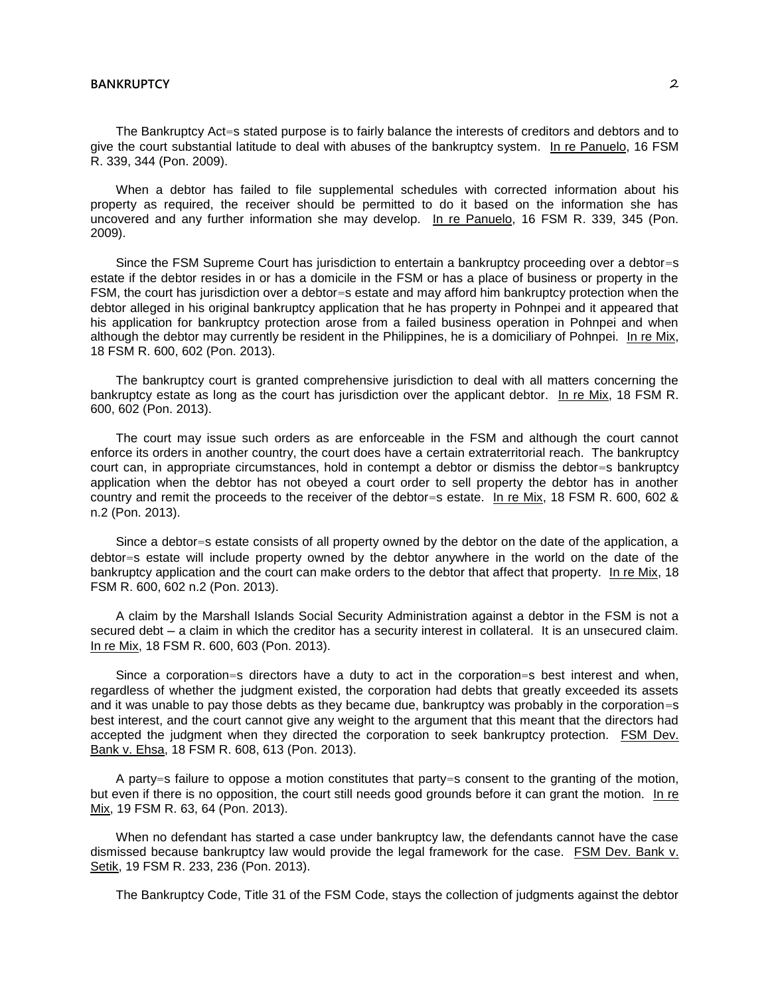The Bankruptcy Act=s stated purpose is to fairly balance the interests of creditors and debtors and to give the court substantial latitude to deal with abuses of the bankruptcy system. In re Panuelo, 16 FSM R. 339, 344 (Pon. 2009).

When a debtor has failed to file supplemental schedules with corrected information about his property as required, the receiver should be permitted to do it based on the information she has uncovered and any further information she may develop. In re Panuelo, 16 FSM R. 339, 345 (Pon. 2009).

Since the FSM Supreme Court has jurisdiction to entertain a bankruptcy proceeding over a debtor=s estate if the debtor resides in or has a domicile in the FSM or has a place of business or property in the FSM, the court has jurisdiction over a debtor=s estate and may afford him bankruptcy protection when the debtor alleged in his original bankruptcy application that he has property in Pohnpei and it appeared that his application for bankruptcy protection arose from a failed business operation in Pohnpei and when although the debtor may currently be resident in the Philippines, he is a domiciliary of Pohnpei. In re Mix, 18 FSM R. 600, 602 (Pon. 2013).

The bankruptcy court is granted comprehensive jurisdiction to deal with all matters concerning the bankruptcy estate as long as the court has jurisdiction over the applicant debtor. In re Mix, 18 FSM R. 600, 602 (Pon. 2013).

The court may issue such orders as are enforceable in the FSM and although the court cannot enforce its orders in another country, the court does have a certain extraterritorial reach. The bankruptcy court can, in appropriate circumstances, hold in contempt a debtor or dismiss the debtor=s bankruptcy application when the debtor has not obeyed a court order to sell property the debtor has in another country and remit the proceeds to the receiver of the debtor=s estate. In re Mix, 18 FSM R. 600, 602 & n.2 (Pon. 2013).

Since a debtor=s estate consists of all property owned by the debtor on the date of the application, a debtor=s estate will include property owned by the debtor anywhere in the world on the date of the bankruptcy application and the court can make orders to the debtor that affect that property. In re Mix, 18 FSM R. 600, 602 n.2 (Pon. 2013).

A claim by the Marshall Islands Social Security Administration against a debtor in the FSM is not a secured debt — a claim in which the creditor has a security interest in collateral. It is an unsecured claim. In re Mix, 18 FSM R. 600, 603 (Pon. 2013).

Since a corporation=s directors have a duty to act in the corporation=s best interest and when, regardless of whether the judgment existed, the corporation had debts that greatly exceeded its assets and it was unable to pay those debts as they became due, bankruptcy was probably in the corporation=s best interest, and the court cannot give any weight to the argument that this meant that the directors had accepted the judgment when they directed the corporation to seek bankruptcy protection. FSM Dev. Bank v. Ehsa, 18 FSM R. 608, 613 (Pon. 2013).

A party=s failure to oppose a motion constitutes that party=s consent to the granting of the motion, but even if there is no opposition, the court still needs good grounds before it can grant the motion. In re Mix, 19 FSM R. 63, 64 (Pon. 2013).

When no defendant has started a case under bankruptcy law, the defendants cannot have the case dismissed because bankruptcy law would provide the legal framework for the case. FSM Dev. Bank v. Setik, 19 FSM R. 233, 236 (Pon. 2013).

The Bankruptcy Code, Title 31 of the FSM Code, stays the collection of judgments against the debtor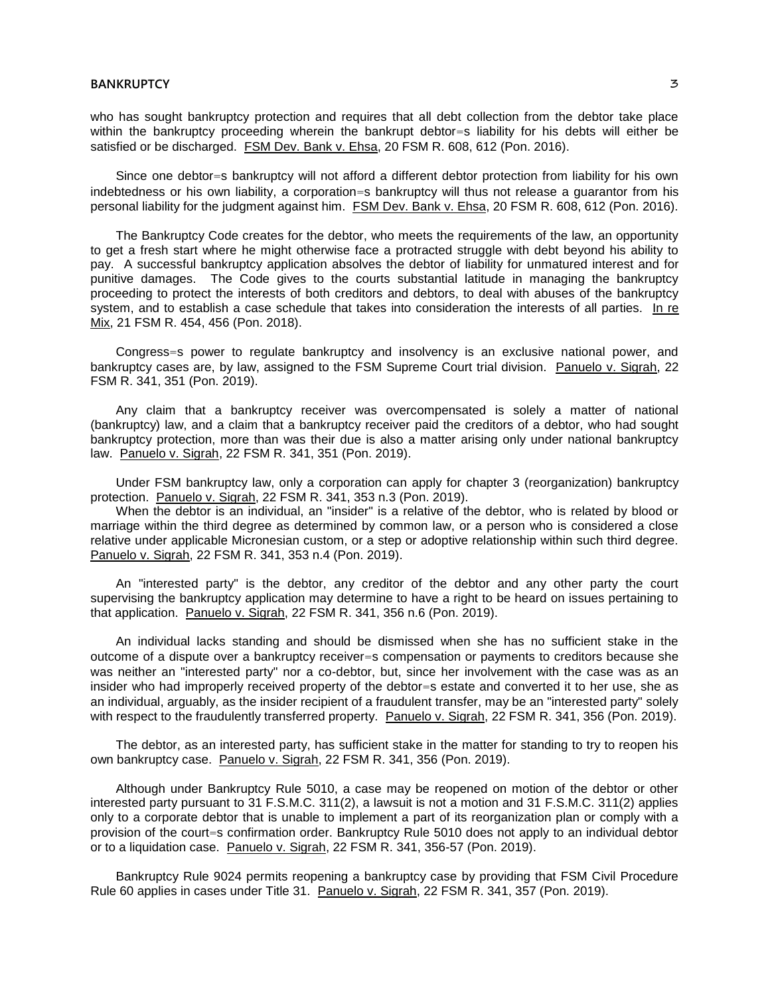who has sought bankruptcy protection and requires that all debt collection from the debtor take place within the bankruptcy proceeding wherein the bankrupt debtor=s liability for his debts will either be satisfied or be discharged. FSM Dev. Bank v. Ehsa, 20 FSM R. 608, 612 (Pon. 2016).

Since one debtor=s bankruptcy will not afford a different debtor protection from liability for his own indebtedness or his own liability, a corporation=s bankruptcy will thus not release a guarantor from his personal liability for the judgment against him. FSM Dev. Bank v. Ehsa, 20 FSM R. 608, 612 (Pon. 2016).

The Bankruptcy Code creates for the debtor, who meets the requirements of the law, an opportunity to get a fresh start where he might otherwise face a protracted struggle with debt beyond his ability to pay. A successful bankruptcy application absolves the debtor of liability for unmatured interest and for punitive damages. The Code gives to the courts substantial latitude in managing the bankruptcy proceeding to protect the interests of both creditors and debtors, to deal with abuses of the bankruptcy system, and to establish a case schedule that takes into consideration the interests of all parties. In re Mix, 21 FSM R. 454, 456 (Pon. 2018).

Congress=s power to regulate bankruptcy and insolvency is an exclusive national power, and bankruptcy cases are, by law, assigned to the FSM Supreme Court trial division. Panuelo v. Sigrah, 22 FSM R. 341, 351 (Pon. 2019).

Any claim that a bankruptcy receiver was overcompensated is solely a matter of national (bankruptcy) law, and a claim that a bankruptcy receiver paid the creditors of a debtor, who had sought bankruptcy protection, more than was their due is also a matter arising only under national bankruptcy law. Panuelo v. Sigrah, 22 FSM R. 341, 351 (Pon. 2019).

Under FSM bankruptcy law, only a corporation can apply for chapter 3 (reorganization) bankruptcy protection. Panuelo v. Sigrah, 22 FSM R. 341, 353 n.3 (Pon. 2019).

When the debtor is an individual, an "insider" is a relative of the debtor, who is related by blood or marriage within the third degree as determined by common law, or a person who is considered a close relative under applicable Micronesian custom, or a step or adoptive relationship within such third degree. Panuelo v. Sigrah, 22 FSM R. 341, 353 n.4 (Pon. 2019).

An "interested party" is the debtor, any creditor of the debtor and any other party the court supervising the bankruptcy application may determine to have a right to be heard on issues pertaining to that application. Panuelo v. Sigrah, 22 FSM R. 341, 356 n.6 (Pon. 2019).

An individual lacks standing and should be dismissed when she has no sufficient stake in the outcome of a dispute over a bankruptcy receiver=s compensation or payments to creditors because she was neither an "interested party" nor a co-debtor, but, since her involvement with the case was as an insider who had improperly received property of the debtor=s estate and converted it to her use, she as an individual, arguably, as the insider recipient of a fraudulent transfer, may be an "interested party" solely with respect to the fraudulently transferred property. Panuelo v. Sigrah, 22 FSM R. 341, 356 (Pon. 2019).

The debtor, as an interested party, has sufficient stake in the matter for standing to try to reopen his own bankruptcy case. Panuelo v. Sigrah, 22 FSM R. 341, 356 (Pon. 2019).

Although under Bankruptcy Rule 5010, a case may be reopened on motion of the debtor or other interested party pursuant to 31 F.S.M.C. 311(2), a lawsuit is not a motion and 31 F.S.M.C. 311(2) applies only to a corporate debtor that is unable to implement a part of its reorganization plan or comply with a provision of the court=s confirmation order. Bankruptcy Rule 5010 does not apply to an individual debtor or to a liquidation case. Panuelo v. Sigrah, 22 FSM R. 341, 356-57 (Pon. 2019).

Bankruptcy Rule 9024 permits reopening a bankruptcy case by providing that FSM Civil Procedure Rule 60 applies in cases under Title 31. Panuelo v. Sigrah, 22 FSM R. 341, 357 (Pon. 2019).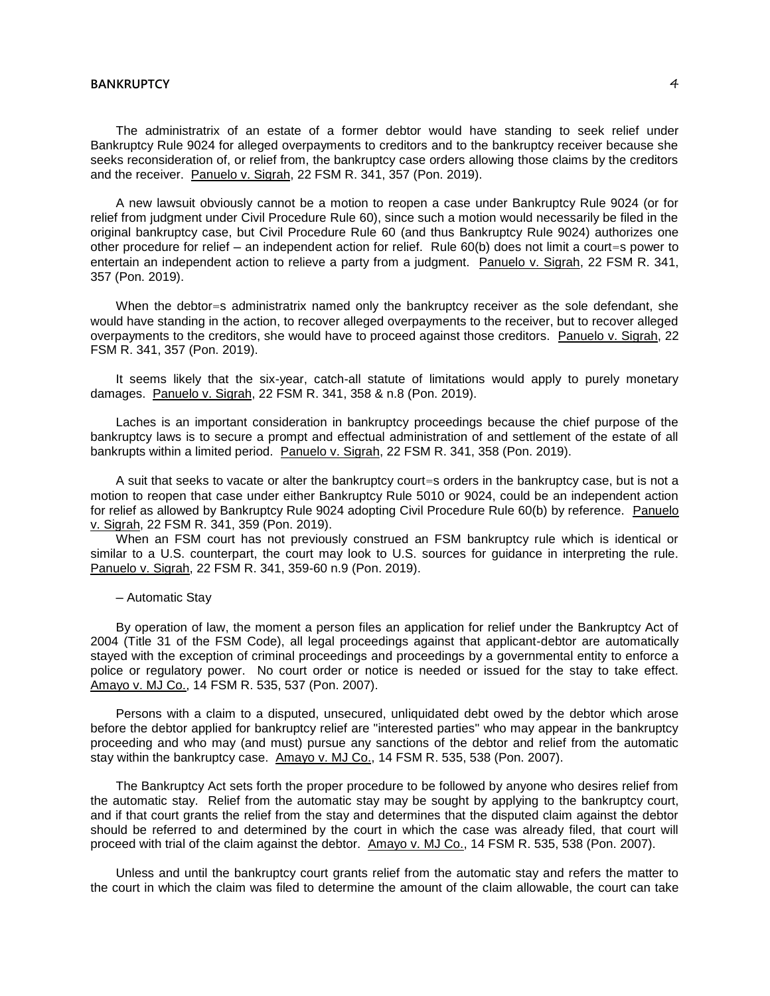The administratrix of an estate of a former debtor would have standing to seek relief under Bankruptcy Rule 9024 for alleged overpayments to creditors and to the bankruptcy receiver because she seeks reconsideration of, or relief from, the bankruptcy case orders allowing those claims by the creditors and the receiver. Panuelo v. Sigrah, 22 FSM R. 341, 357 (Pon. 2019).

A new lawsuit obviously cannot be a motion to reopen a case under Bankruptcy Rule 9024 (or for relief from judgment under Civil Procedure Rule 60), since such a motion would necessarily be filed in the original bankruptcy case, but Civil Procedure Rule 60 (and thus Bankruptcy Rule 9024) authorizes one other procedure for relief ─ an independent action for relief. Rule 60(b) does not limit a court=s power to entertain an independent action to relieve a party from a judgment. Panuelo v. Sigrah, 22 FSM R. 341, 357 (Pon. 2019).

When the debtor=s administratrix named only the bankruptcy receiver as the sole defendant, she would have standing in the action, to recover alleged overpayments to the receiver, but to recover alleged overpayments to the creditors, she would have to proceed against those creditors. Panuelo v. Sigrah, 22 FSM R. 341, 357 (Pon. 2019).

It seems likely that the six-year, catch-all statute of limitations would apply to purely monetary damages. Panuelo v. Sigrah, 22 FSM R. 341, 358 & n.8 (Pon. 2019).

Laches is an important consideration in bankruptcy proceedings because the chief purpose of the bankruptcy laws is to secure a prompt and effectual administration of and settlement of the estate of all bankrupts within a limited period. Panuelo v. Sigrah, 22 FSM R. 341, 358 (Pon. 2019).

A suit that seeks to vacate or alter the bankruptcy court=s orders in the bankruptcy case, but is not a motion to reopen that case under either Bankruptcy Rule 5010 or 9024, could be an independent action for relief as allowed by Bankruptcy Rule 9024 adopting Civil Procedure Rule 60(b) by reference. Panuelo v. Sigrah, 22 FSM R. 341, 359 (Pon. 2019).

When an FSM court has not previously construed an FSM bankruptcy rule which is identical or similar to a U.S. counterpart, the court may look to U.S. sources for guidance in interpreting the rule. Panuelo v. Sigrah, 22 FSM R. 341, 359-60 n.9 (Pon. 2019).

─ Automatic Stay

By operation of law, the moment a person files an application for relief under the Bankruptcy Act of 2004 (Title 31 of the FSM Code), all legal proceedings against that applicant-debtor are automatically stayed with the exception of criminal proceedings and proceedings by a governmental entity to enforce a police or regulatory power. No court order or notice is needed or issued for the stay to take effect. Amayo v. MJ Co., 14 FSM R. 535, 537 (Pon. 2007).

Persons with a claim to a disputed, unsecured, unliquidated debt owed by the debtor which arose before the debtor applied for bankruptcy relief are "interested parties" who may appear in the bankruptcy proceeding and who may (and must) pursue any sanctions of the debtor and relief from the automatic stay within the bankruptcy case. Amayo v. MJ Co., 14 FSM R. 535, 538 (Pon. 2007).

The Bankruptcy Act sets forth the proper procedure to be followed by anyone who desires relief from the automatic stay. Relief from the automatic stay may be sought by applying to the bankruptcy court, and if that court grants the relief from the stay and determines that the disputed claim against the debtor should be referred to and determined by the court in which the case was already filed, that court will proceed with trial of the claim against the debtor. Amayo v. MJ Co., 14 FSM R. 535, 538 (Pon. 2007).

Unless and until the bankruptcy court grants relief from the automatic stay and refers the matter to the court in which the claim was filed to determine the amount of the claim allowable, the court can take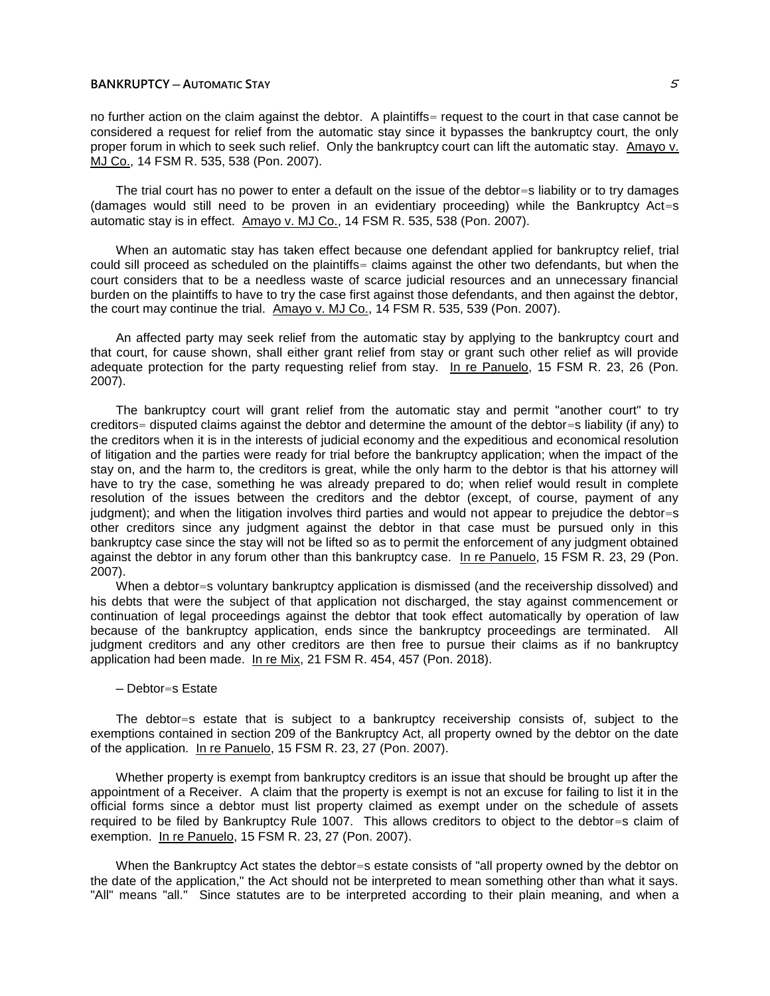### **BANKRUPTCY ─ AUTOMATIC STAY** 5

no further action on the claim against the debtor. A plaintiffs= request to the court in that case cannot be considered a request for relief from the automatic stay since it bypasses the bankruptcy court, the only proper forum in which to seek such relief. Only the bankruptcy court can lift the automatic stay. Amayo v. MJ Co., 14 FSM R. 535, 538 (Pon. 2007).

The trial court has no power to enter a default on the issue of the debtor=s liability or to try damages (damages would still need to be proven in an evidentiary proceeding) while the Bankruptcy Act=s automatic stay is in effect. Amayo v. MJ Co., 14 FSM R. 535, 538 (Pon. 2007).

When an automatic stay has taken effect because one defendant applied for bankruptcy relief, trial could sill proceed as scheduled on the plaintiffs= claims against the other two defendants, but when the court considers that to be a needless waste of scarce judicial resources and an unnecessary financial burden on the plaintiffs to have to try the case first against those defendants, and then against the debtor, the court may continue the trial. Amayo v. MJ Co., 14 FSM R. 535, 539 (Pon. 2007).

An affected party may seek relief from the automatic stay by applying to the bankruptcy court and that court, for cause shown, shall either grant relief from stay or grant such other relief as will provide adequate protection for the party requesting relief from stay. In re Panuelo, 15 FSM R. 23, 26 (Pon. 2007).

The bankruptcy court will grant relief from the automatic stay and permit "another court" to try creditors= disputed claims against the debtor and determine the amount of the debtor=s liability (if any) to the creditors when it is in the interests of judicial economy and the expeditious and economical resolution of litigation and the parties were ready for trial before the bankruptcy application; when the impact of the stay on, and the harm to, the creditors is great, while the only harm to the debtor is that his attorney will have to try the case, something he was already prepared to do; when relief would result in complete resolution of the issues between the creditors and the debtor (except, of course, payment of any judgment); and when the litigation involves third parties and would not appear to prejudice the debtor=s other creditors since any judgment against the debtor in that case must be pursued only in this bankruptcy case since the stay will not be lifted so as to permit the enforcement of any judgment obtained against the debtor in any forum other than this bankruptcy case. In re Panuelo, 15 FSM R. 23, 29 (Pon. 2007).

When a debtor=s voluntary bankruptcy application is dismissed (and the receivership dissolved) and his debts that were the subject of that application not discharged, the stay against commencement or continuation of legal proceedings against the debtor that took effect automatically by operation of law because of the bankruptcy application, ends since the bankruptcy proceedings are terminated. All judgment creditors and any other creditors are then free to pursue their claims as if no bankruptcy application had been made. In re Mix, 21 FSM R. 454, 457 (Pon. 2018).

## ─ Debtor=s Estate

The debtor=s estate that is subject to a bankruptcy receivership consists of, subject to the exemptions contained in section 209 of the Bankruptcy Act, all property owned by the debtor on the date of the application. In re Panuelo, 15 FSM R. 23, 27 (Pon. 2007).

Whether property is exempt from bankruptcy creditors is an issue that should be brought up after the appointment of a Receiver. A claim that the property is exempt is not an excuse for failing to list it in the official forms since a debtor must list property claimed as exempt under on the schedule of assets required to be filed by Bankruptcy Rule 1007. This allows creditors to object to the debtor=s claim of exemption. In re Panuelo, 15 FSM R. 23, 27 (Pon. 2007).

When the Bankruptcy Act states the debtor=s estate consists of "all property owned by the debtor on the date of the application," the Act should not be interpreted to mean something other than what it says. "All" means "all." Since statutes are to be interpreted according to their plain meaning, and when a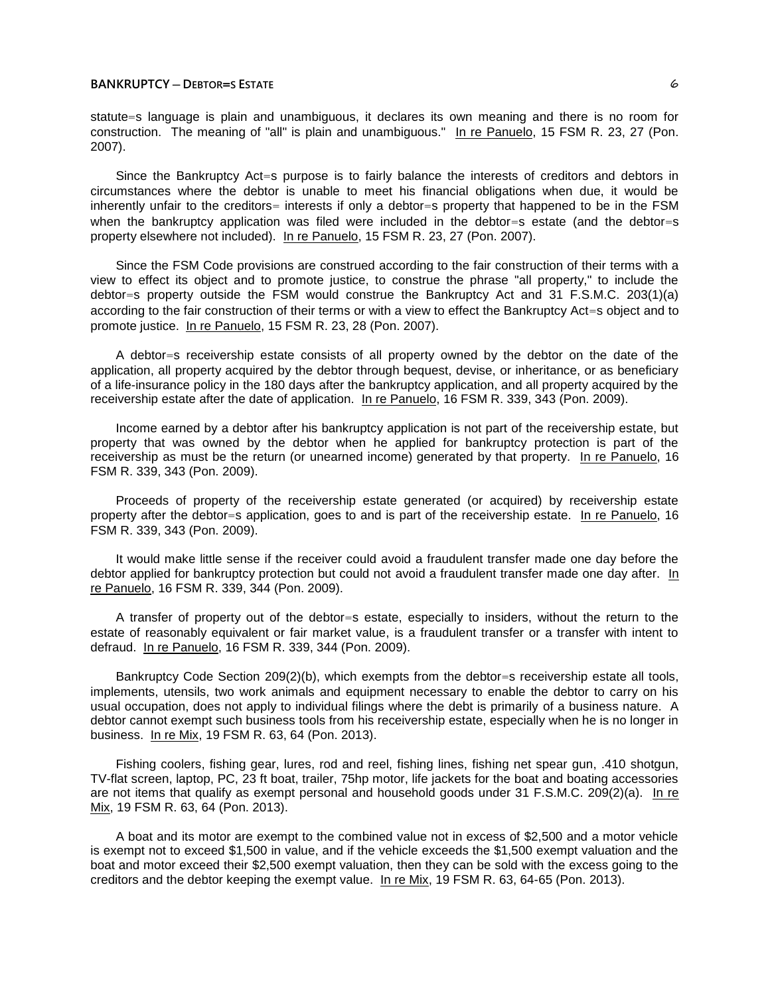### **BANKRUPTCY ─ DEBTOR=S ESTATE** 6

statute=s language is plain and unambiguous, it declares its own meaning and there is no room for construction. The meaning of "all" is plain and unambiguous." In re Panuelo, 15 FSM R. 23, 27 (Pon. 2007).

Since the Bankruptcy Act=s purpose is to fairly balance the interests of creditors and debtors in circumstances where the debtor is unable to meet his financial obligations when due, it would be inherently unfair to the creditors= interests if only a debtor=s property that happened to be in the FSM when the bankruptcy application was filed were included in the debtor=s estate (and the debtor=s property elsewhere not included). In re Panuelo, 15 FSM R. 23, 27 (Pon. 2007).

Since the FSM Code provisions are construed according to the fair construction of their terms with a view to effect its object and to promote justice, to construe the phrase "all property," to include the debtor=s property outside the FSM would construe the Bankruptcy Act and 31 F.S.M.C. 203(1)(a) according to the fair construction of their terms or with a view to effect the Bankruptcy Act=s object and to promote justice. In re Panuelo, 15 FSM R. 23, 28 (Pon. 2007).

A debtor=s receivership estate consists of all property owned by the debtor on the date of the application, all property acquired by the debtor through bequest, devise, or inheritance, or as beneficiary of a life-insurance policy in the 180 days after the bankruptcy application, and all property acquired by the receivership estate after the date of application. In re Panuelo, 16 FSM R. 339, 343 (Pon. 2009).

Income earned by a debtor after his bankruptcy application is not part of the receivership estate, but property that was owned by the debtor when he applied for bankruptcy protection is part of the receivership as must be the return (or unearned income) generated by that property. In re Panuelo, 16 FSM R. 339, 343 (Pon. 2009).

Proceeds of property of the receivership estate generated (or acquired) by receivership estate property after the debtor=s application, goes to and is part of the receivership estate. In re Panuelo, 16 FSM R. 339, 343 (Pon. 2009).

It would make little sense if the receiver could avoid a fraudulent transfer made one day before the debtor applied for bankruptcy protection but could not avoid a fraudulent transfer made one day after. In re Panuelo, 16 FSM R. 339, 344 (Pon. 2009).

A transfer of property out of the debtor=s estate, especially to insiders, without the return to the estate of reasonably equivalent or fair market value, is a fraudulent transfer or a transfer with intent to defraud. In re Panuelo, 16 FSM R. 339, 344 (Pon. 2009).

Bankruptcy Code Section 209(2)(b), which exempts from the debtor=s receivership estate all tools, implements, utensils, two work animals and equipment necessary to enable the debtor to carry on his usual occupation, does not apply to individual filings where the debt is primarily of a business nature. A debtor cannot exempt such business tools from his receivership estate, especially when he is no longer in business. In re Mix, 19 FSM R. 63, 64 (Pon. 2013).

Fishing coolers, fishing gear, lures, rod and reel, fishing lines, fishing net spear gun, .410 shotgun, TV-flat screen, laptop, PC, 23 ft boat, trailer, 75hp motor, life jackets for the boat and boating accessories are not items that qualify as exempt personal and household goods under 31 F.S.M.C. 209(2)(a). In re Mix, 19 FSM R. 63, 64 (Pon. 2013).

A boat and its motor are exempt to the combined value not in excess of \$2,500 and a motor vehicle is exempt not to exceed \$1,500 in value, and if the vehicle exceeds the \$1,500 exempt valuation and the boat and motor exceed their \$2,500 exempt valuation, then they can be sold with the excess going to the creditors and the debtor keeping the exempt value. In re Mix, 19 FSM R. 63, 64-65 (Pon. 2013).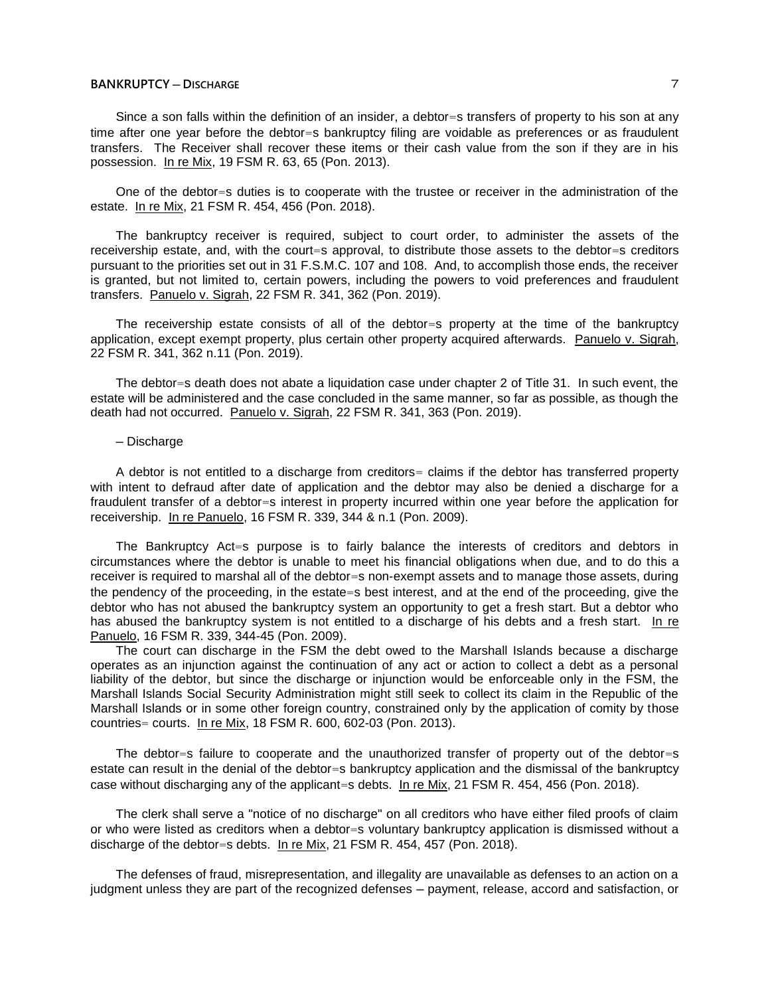## **BANKRUPTCY ─ DISCHARGE** 7

Since a son falls within the definition of an insider, a debtor=s transfers of property to his son at any time after one year before the debtor=s bankruptcy filing are voidable as preferences or as fraudulent transfers. The Receiver shall recover these items or their cash value from the son if they are in his possession. In re Mix, 19 FSM R. 63, 65 (Pon. 2013).

One of the debtor=s duties is to cooperate with the trustee or receiver in the administration of the estate. In re Mix, 21 FSM R. 454, 456 (Pon. 2018).

The bankruptcy receiver is required, subject to court order, to administer the assets of the receivership estate, and, with the court=s approval, to distribute those assets to the debtor=s creditors pursuant to the priorities set out in 31 F.S.M.C. 107 and 108. And, to accomplish those ends, the receiver is granted, but not limited to, certain powers, including the powers to void preferences and fraudulent transfers. Panuelo v. Sigrah, 22 FSM R. 341, 362 (Pon. 2019).

The receivership estate consists of all of the debtor=s property at the time of the bankruptcy application, except exempt property, plus certain other property acquired afterwards. Panuelo v. Sigrah, 22 FSM R. 341, 362 n.11 (Pon. 2019).

The debtor=s death does not abate a liquidation case under chapter 2 of Title 31. In such event, the estate will be administered and the case concluded in the same manner, so far as possible, as though the death had not occurred. Panuelo v. Sigrah, 22 FSM R. 341, 363 (Pon. 2019).

#### ─ Discharge

A debtor is not entitled to a discharge from creditors= claims if the debtor has transferred property with intent to defraud after date of application and the debtor may also be denied a discharge for a fraudulent transfer of a debtor=s interest in property incurred within one year before the application for receivership. In re Panuelo, 16 FSM R. 339, 344 & n.1 (Pon. 2009).

The Bankruptcy Act=s purpose is to fairly balance the interests of creditors and debtors in circumstances where the debtor is unable to meet his financial obligations when due, and to do this a receiver is required to marshal all of the debtor=s non-exempt assets and to manage those assets, during the pendency of the proceeding, in the estate=s best interest, and at the end of the proceeding, give the debtor who has not abused the bankruptcy system an opportunity to get a fresh start. But a debtor who has abused the bankruptcy system is not entitled to a discharge of his debts and a fresh start. In re Panuelo, 16 FSM R. 339, 344-45 (Pon. 2009).

The court can discharge in the FSM the debt owed to the Marshall Islands because a discharge operates as an injunction against the continuation of any act or action to collect a debt as a personal liability of the debtor, but since the discharge or injunction would be enforceable only in the FSM, the Marshall Islands Social Security Administration might still seek to collect its claim in the Republic of the Marshall Islands or in some other foreign country, constrained only by the application of comity by those countries= courts. In re Mix, 18 FSM R. 600, 602-03 (Pon. 2013).

The debtor=s failure to cooperate and the unauthorized transfer of property out of the debtor=s estate can result in the denial of the debtor=s bankruptcy application and the dismissal of the bankruptcy case without discharging any of the applicant=s debts. In re Mix, 21 FSM R. 454, 456 (Pon. 2018).

The clerk shall serve a "notice of no discharge" on all creditors who have either filed proofs of claim or who were listed as creditors when a debtor=s voluntary bankruptcy application is dismissed without a discharge of the debtor=s debts. In re Mix, 21 FSM R. 454, 457 (Pon. 2018).

The defenses of fraud, misrepresentation, and illegality are unavailable as defenses to an action on a judgment unless they are part of the recognized defenses ─ payment, release, accord and satisfaction, or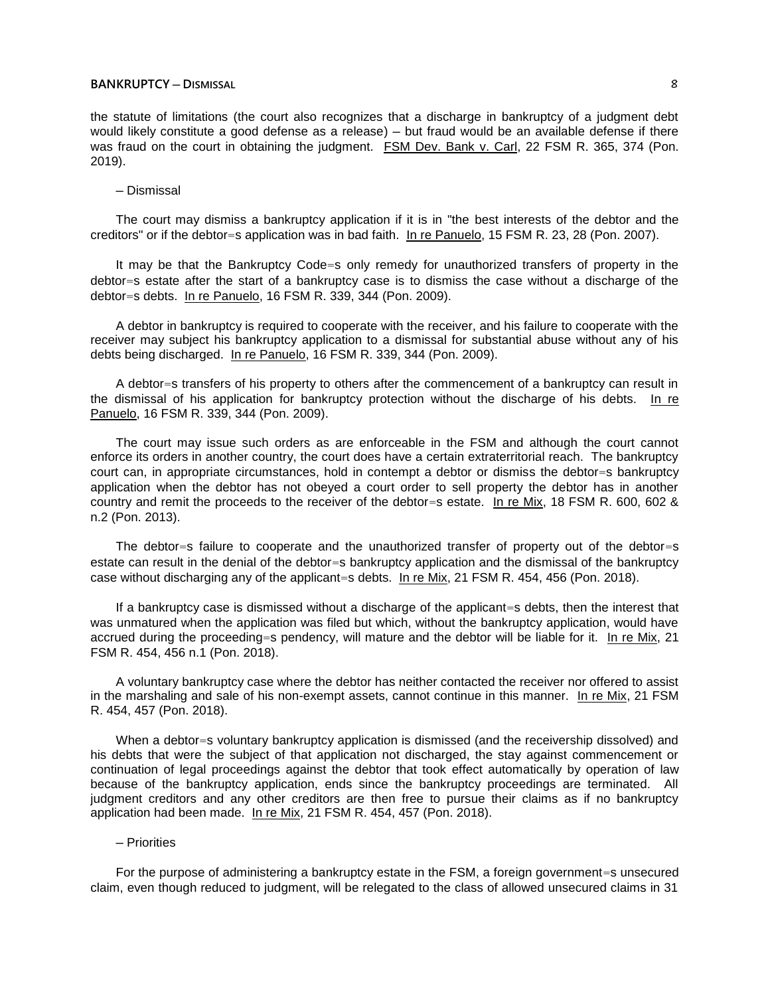## **BANKRUPTCY ─ DISMISSAL** 8

the statute of limitations (the court also recognizes that a discharge in bankruptcy of a judgment debt would likely constitute a good defense as a release) - but fraud would be an available defense if there was fraud on the court in obtaining the judgment. FSM Dev. Bank v. Carl, 22 FSM R. 365, 374 (Pon. 2019).

#### ─ Dismissal

The court may dismiss a bankruptcy application if it is in "the best interests of the debtor and the creditors" or if the debtor=s application was in bad faith. In re Panuelo, 15 FSM R. 23, 28 (Pon. 2007).

It may be that the Bankruptcy Code=s only remedy for unauthorized transfers of property in the debtor=s estate after the start of a bankruptcy case is to dismiss the case without a discharge of the debtor=s debts. In re Panuelo, 16 FSM R. 339, 344 (Pon. 2009).

A debtor in bankruptcy is required to cooperate with the receiver, and his failure to cooperate with the receiver may subject his bankruptcy application to a dismissal for substantial abuse without any of his debts being discharged. In re Panuelo, 16 FSM R. 339, 344 (Pon. 2009).

A debtor=s transfers of his property to others after the commencement of a bankruptcy can result in the dismissal of his application for bankruptcy protection without the discharge of his debts. In re Panuelo, 16 FSM R. 339, 344 (Pon. 2009).

The court may issue such orders as are enforceable in the FSM and although the court cannot enforce its orders in another country, the court does have a certain extraterritorial reach. The bankruptcy court can, in appropriate circumstances, hold in contempt a debtor or dismiss the debtor=s bankruptcy application when the debtor has not obeyed a court order to sell property the debtor has in another country and remit the proceeds to the receiver of the debtor=s estate. In re Mix, 18 FSM R. 600, 602 & n.2 (Pon. 2013).

The debtor=s failure to cooperate and the unauthorized transfer of property out of the debtor=s estate can result in the denial of the debtor=s bankruptcy application and the dismissal of the bankruptcy case without discharging any of the applicant=s debts. In re Mix, 21 FSM R. 454, 456 (Pon. 2018).

If a bankruptcy case is dismissed without a discharge of the applicant=s debts, then the interest that was unmatured when the application was filed but which, without the bankruptcy application, would have accrued during the proceeding=s pendency, will mature and the debtor will be liable for it. In re Mix, 21 FSM R. 454, 456 n.1 (Pon. 2018).

A voluntary bankruptcy case where the debtor has neither contacted the receiver nor offered to assist in the marshaling and sale of his non-exempt assets, cannot continue in this manner. In re Mix, 21 FSM R. 454, 457 (Pon. 2018).

When a debtor=s voluntary bankruptcy application is dismissed (and the receivership dissolved) and his debts that were the subject of that application not discharged, the stay against commencement or continuation of legal proceedings against the debtor that took effect automatically by operation of law because of the bankruptcy application, ends since the bankruptcy proceedings are terminated. All judgment creditors and any other creditors are then free to pursue their claims as if no bankruptcy application had been made. In re Mix, 21 FSM R. 454, 457 (Pon. 2018).

#### ─ Priorities

For the purpose of administering a bankruptcy estate in the FSM, a foreign government=s unsecured claim, even though reduced to judgment, will be relegated to the class of allowed unsecured claims in 31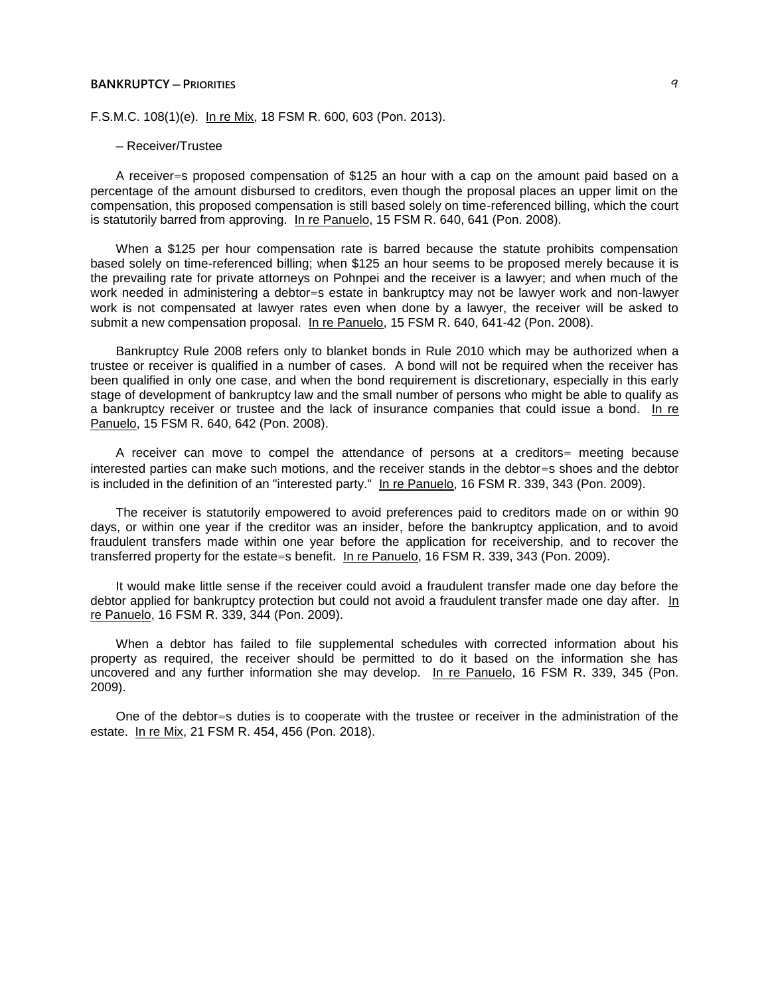#### **BANKRUPTCY ─ PRIORITIES** 9

F.S.M.C. 108(1)(e). In re Mix, 18 FSM R. 600, 603 (Pon. 2013).

#### ─ Receiver/Trustee

A receiver=s proposed compensation of \$125 an hour with a cap on the amount paid based on a percentage of the amount disbursed to creditors, even though the proposal places an upper limit on the compensation, this proposed compensation is still based solely on time-referenced billing, which the court is statutorily barred from approving. In re Panuelo, 15 FSM R. 640, 641 (Pon. 2008).

When a \$125 per hour compensation rate is barred because the statute prohibits compensation based solely on time-referenced billing; when \$125 an hour seems to be proposed merely because it is the prevailing rate for private attorneys on Pohnpei and the receiver is a lawyer; and when much of the work needed in administering a debtor=s estate in bankruptcy may not be lawyer work and non-lawyer work is not compensated at lawyer rates even when done by a lawyer, the receiver will be asked to submit a new compensation proposal. In re Panuelo, 15 FSM R. 640, 641-42 (Pon. 2008).

Bankruptcy Rule 2008 refers only to blanket bonds in Rule 2010 which may be authorized when a trustee or receiver is qualified in a number of cases. A bond will not be required when the receiver has been qualified in only one case, and when the bond requirement is discretionary, especially in this early stage of development of bankruptcy law and the small number of persons who might be able to qualify as a bankruptcy receiver or trustee and the lack of insurance companies that could issue a bond. In re Panuelo, 15 FSM R. 640, 642 (Pon. 2008).

A receiver can move to compel the attendance of persons at a creditors= meeting because interested parties can make such motions, and the receiver stands in the debtor=s shoes and the debtor is included in the definition of an "interested party." In re Panuelo, 16 FSM R. 339, 343 (Pon. 2009).

The receiver is statutorily empowered to avoid preferences paid to creditors made on or within 90 days, or within one year if the creditor was an insider, before the bankruptcy application, and to avoid fraudulent transfers made within one year before the application for receivership, and to recover the transferred property for the estate=s benefit. In re Panuelo, 16 FSM R. 339, 343 (Pon. 2009).

It would make little sense if the receiver could avoid a fraudulent transfer made one day before the debtor applied for bankruptcy protection but could not avoid a fraudulent transfer made one day after. In re Panuelo, 16 FSM R. 339, 344 (Pon. 2009).

When a debtor has failed to file supplemental schedules with corrected information about his property as required, the receiver should be permitted to do it based on the information she has uncovered and any further information she may develop. In re Panuelo, 16 FSM R. 339, 345 (Pon. 2009).

One of the debtor=s duties is to cooperate with the trustee or receiver in the administration of the estate. In re Mix, 21 FSM R. 454, 456 (Pon. 2018).